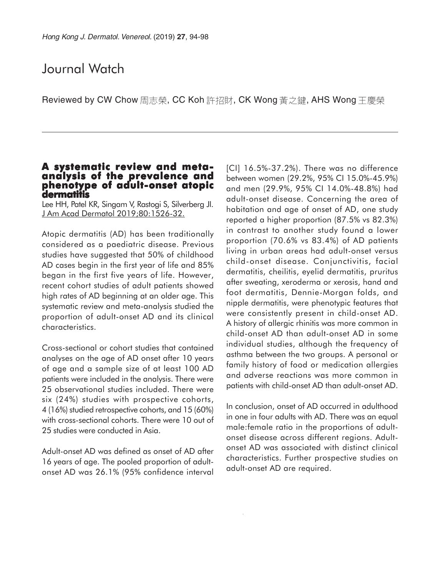# Journal Watch

Reviewed by CW Chow 周志榮, CC Koh 許招財, CK Wong 黃之鍵, AHS Wong 王慶榮

## **A systematic review and metaanalysis of the prevalence and phenotype of adult-onset atopic dermatitis**

Lee HH, Patel KR, Singam V, Rastogi S, Silverberg JI. J Am Acad Dermatol 2019;80:1526-32.

Atopic dermatitis (AD) has been traditionally considered as a paediatric disease. Previous studies have suggested that 50% of childhood AD cases begin in the first year of life and 85% began in the first five years of life. However, recent cohort studies of adult patients showed high rates of AD beginning at an older age. This systematic review and meta-analysis studied the proportion of adult-onset AD and its clinical characteristics.

Cross-sectional or cohort studies that contained analyses on the age of AD onset after 10 years of age and a sample size of at least 100 AD patients were included in the analysis. There were 25 observational studies included. There were six (24%) studies with prospective cohorts, 4 (16%) studied retrospective cohorts, and 15 (60%) with cross-sectional cohorts. There were 10 out of 25 studies were conducted in Asia.

Adult-onset AD was defined as onset of AD after 16 years of age. The pooled proportion of adultonset AD was 26.1% (95% confidence interval [CI] 16.5%-37.2%). There was no difference between women (29.2%, 95% CI 15.0%-45.9%) and men (29.9%, 95% CI 14.0%-48.8%) had adult-onset disease. Concerning the area of habitation and age of onset of AD, one study reported a higher proportion (87.5% vs 82.3%) in contrast to another study found a lower proportion (70.6% vs 83.4%) of AD patients living in urban areas had adult-onset versus child-onset disease. Conjunctivitis, facial dermatitis, cheilitis, eyelid dermatitis, pruritus after sweating, xeroderma or xerosis, hand and foot dermatitis, Dennie-Morgan folds, and nipple dermatitis, were phenotypic features that were consistently present in child-onset AD. A history of allergic rhinitis was more common in child-onset AD than adult-onset AD in some individual studies, although the frequency of asthma between the two groups. A personal or family history of food or medication allergies and adverse reactions was more common in patients with child-onset AD than adult-onset AD.

In conclusion, onset of AD occurred in adulthood in one in four adults with AD. There was an equal male:female ratio in the proportions of adultonset disease across different regions. Adultonset AD was associated with distinct clinical characteristics. Further prospective studies on adult-onset AD are required.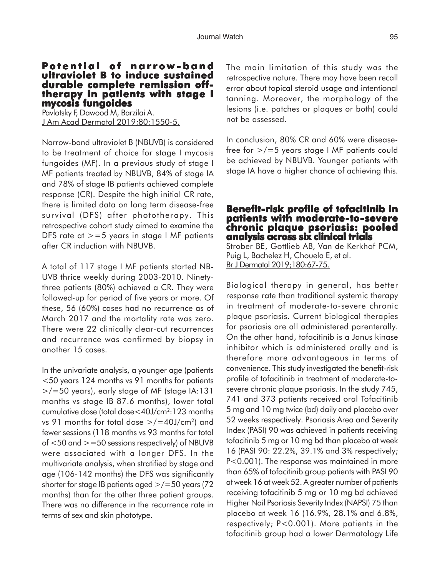#### **P otential of narrow -band ultraviolet B to induce sustained durable complete remission offtherapy in patients with stage I therapy in stage I mycosis fungoides**

Pavlotsky F, Dawood M, Barzilai A. J Am Acad Dermatol 2019;80:1550-5.

Narrow-band ultraviolet B (NBUVB) is considered to be treatment of choice for stage I mycosis fungoides (MF). In a previous study of stage I MF patients treated by NBUVB, 84% of stage IA and 78% of stage IB patients achieved complete response (CR). Despite the high initial CR rate, there is limited data on long term disease-free survival (DFS) after phototherapy. This retrospective cohort study aimed to examine the DFS rate at  $> = 5$  years in stage I MF patients after CR induction with NBUVB.

A total of 117 stage I MF patients started NB-UVB thrice weekly during 2003-2010. Ninetythree patients (80%) achieved a CR. They were followed-up for period of five years or more. Of these, 56 (60%) cases had no recurrence as of March 2017 and the mortality rate was zero. There were 22 clinically clear-cut recurrences and recurrence was confirmed by biopsy in another 15 cases.

In the univariate analysis, a younger age (patients <50 years 124 months vs 91 months for patients >/=50 years), early stage of MF (stage IA:131 months vs stage IB 87.6 months), lower total cumulative dose (total dose<40J/cm2:123 months vs 91 months for total dose  $>$ /=40J/cm<sup>2</sup>) and fewer sessions (118 months vs 93 months for total of  $<$  50 and  $>$  = 50 sessions respectively) of NBUVB were associated with a longer DFS. In the multivariate analysis, when stratified by stage and age (106-142 months) the DFS was significantly shorter for stage IB patients aged >/=50 years (72 months) than for the other three patient groups. There was no difference in the recurrence rate in terms of sex and skin phototype.

The main limitation of this study was the retrospective nature. There may have been recall error about topical steroid usage and intentional tanning. Moreover, the morphology of the lesions (i.e. patches or plaques or both) could not be assessed.

In conclusion, 80% CR and 60% were diseasefree for >/=5 years stage I MF patients could be achieved by NBUVB. Younger patients with stage IA have a higher chance of achieving this.

# **Benefit-risk profile of tofacitinib in patients with moderate-to-severe chronic plaque psoriasis: pooled analysis across six clinical trials**

Strober BE, Gottlieb AB, Van de Kerkhof PCM, Puig L, Bachelez H, Chouela E, et al. Br J Dermatol 2019;180:67-75.

Biological therapy in general, has better response rate than traditional systemic therapy in treatment of moderate-to-severe chronic plaque psoriasis. Current biological therapies for psoriasis are all administered parenterally. On the other hand, tofacitinib is a Janus kinase inhibitor which is administered orally and is therefore more advantageous in terms of convenience. This study investigated the benefit-risk profile of tofacitinib in treatment of moderate-tosevere chronic plaque psoriasis. In the study 745, 741 and 373 patients received oral Tofacitinib 5 mg and 10 mg twice (bd) daily and placebo over 52 weeks respectively. Psoriasis Area and Severity Index (PASI) 90 was achieved in patients receiving tofacitinib 5 mg or 10 mg bd than placebo at week 16 (PASI 90: 22.2%, 39.1% and 3% respectively; P<0.001). The response was maintained in more than 65% of tofacitinib group patients with PASI 90 at week 16 at week 52. A greater number of patients receiving tofacitinib 5 mg or 10 mg bd achieved Higher Nail Psoriasis Severity Index (NAPSI) 75 than placebo at week 16 (16.9%, 28.1% and 6.8%, respectively; P<0.001). More patients in the tofacitinib group had a lower Dermatology Life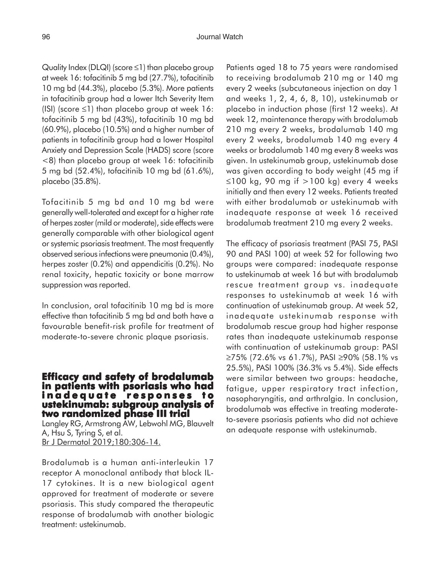Quality Index (DLQI) (score ≤1) than placebo group at week 16: tofacitinib 5 mg bd (27.7%), tofacitinib 10 mg bd (44.3%), placebo (5.3%). More patients in tofacitinib group had a lower Itch Severity Item (ISI) (score  $\leq$ 1) than placebo group at week 16: tofacitinib 5 mg bd (43%), tofacitinib 10 mg bd (60.9%), placebo (10.5%) and a higher number of patients in tofacitinib group had a lower Hospital Anxiety and Depression Scale (HADS) score (score <8) than placebo group at week 16: tofacitinib 5 mg bd (52.4%), tofacitinib 10 mg bd (61.6%), placebo (35.8%).

Tofacitinib 5 mg bd and 10 mg bd were generally well-tolerated and except for a higher rate of herpes zoster (mild or moderate), side effects were generally comparable with other biological agent or systemic psoriasis treatment. The most frequently observed serious infections were pneumonia (0.4%), herpes zoster (0.2%) and appendicitis (0.2%). No renal toxicity, hepatic toxicity or bone marrow suppression was reported.

In conclusion, oral tofacitinib 10 mg bd is more effective than tofacitinib 5 mg bd and both have a favourable benefit-risk profile for treatment of moderate-to-severe chronic plaque psoriasis.

## **Efficacy and safety of brodalumab in patients with psoriasis who had inadequate responses to ustekinumab: subgroup analysis of analysis of two randomized phase III trial III trial**

Langley RG, Armstrong AW, Lebwohl MG, Blauvelt A, Hsu S, Tyring S, et al. Br J Dermatol 2019;180:306-14.

Brodalumab is a human anti-interleukin 17 receptor A monoclonal antibody that block IL-17 cytokines. It is a new biological agent approved for treatment of moderate or severe psoriasis. This study compared the therapeutic response of brodalumab with another biologic treatment: ustekinumab.

Patients aged 18 to 75 years were randomised to receiving brodalumab 210 mg or 140 mg every 2 weeks (subcutaneous injection on day 1 and weeks 1, 2, 4, 6, 8, 10), ustekinumab or placebo in induction phase (first 12 weeks). At week 12, maintenance therapy with brodalumab 210 mg every 2 weeks, brodalumab 140 mg every 2 weeks, brodalumab 140 mg every 4 weeks or brodalumab 140 mg every 8 weeks was given. In ustekinumab group, ustekinumab dose was given according to body weight (45 mg if ≤100 kg, 90 mg if >100 kg) every 4 weeks initially and then every 12 weeks. Patients treated with either brodalumab or ustekinumab with inadequate response at week 16 received brodalumab treatment 210 mg every 2 weeks.

The efficacy of psoriasis treatment (PASI 75, PASI 90 and PASI 100) at week 52 for following two groups were compared: inadequate response to ustekinumab at week 16 but with brodalumab rescue treatment group vs. inadequate responses to ustekinumab at week 16 with continuation of ustekinumab group. At week 52, inadequate ustekinumab response with brodalumab rescue group had higher response rates than inadequate ustekinumab response with continuation of ustekinumab group: PASI ≥75% (72.6% vs 61.7%), PASI ≥90% (58.1% vs 25.5%), PASI 100% (36.3% vs 5.4%). Side effects were similar between two groups: headache, fatigue, upper respiratory tract infection, nasopharyngitis, and arthralgia. In conclusion, brodalumab was effective in treating moderateto-severe psoriasis patients who did not achieve an adequate response with ustekinumab.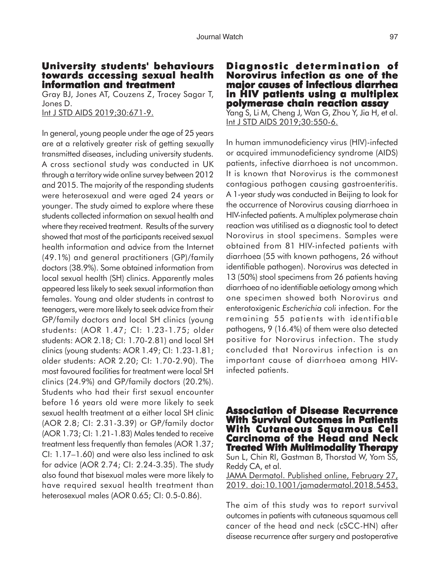#### **University students' behaviours towards accessing sexual health information and treatment information treatment**

Gray BJ, Jones AT, Couzens Z, Tracey Sagar T, Jones D.

Int J STD AIDS 2019;30:671-9.

In general, young people under the age of 25 years are at a relatively greater risk of getting sexually transmitted diseases, including university students. A cross sectional study was conducted in UK through a territory wide online survey between 2012 and 2015. The majority of the responding students were heterosexual and were aged 24 years or younger. The study aimed to explore where these students collected information on sexual health and where they received treatment. Results of the survery showed that most of the participants received sexual health information and advice from the Internet (49.1%) and general practitioners (GP)/family doctors (38.9%). Some obtained information from local sexual health (SH) clinics. Apparently males appeared less likely to seek sexual information than females. Young and older students in contrast to teenagers, were more likely to seek advice from their GP/family doctors and local SH clinics (young students: (AOR 1.47; CI: 1.23-1.75; older students: AOR 2.18; CI: 1.70-2.81) and local SH clinics (young students: AOR 1.49; CI: 1.23-1.81; older students: AOR 2.20; CI: 1.70-2.90). The most favoured facilities for treatment were local SH clinics (24.9%) and GP/family doctors (20.2%). Students who had their first sexual encounter before 16 years old were more likely to seek sexual health treatment at a either local SH clinic (AOR 2.8; CI: 2.31-3.39) or GP/family doctor (AOR 1.73; CI: 1.21-1.83) Males tended to receive treatment less frequently than females (AOR 1.37; CI: 1.17–1.60) and were also less inclined to ask for advice (AOR 2.74; CI: 2.24-3.35). The study also found that bisexual males were more likely to have required sexual health treatment than heterosexual males (AOR 0.65; CI: 0.5-0.86).

# **Diagnostic determination of Diagnostic determination of Norovirus infection as one of the major causes of infectious diarrhea in HIV patients using a multiplex polymerase chain reaction assay**

Yang S, Li M, Cheng J, Wan G, Zhou Y, Jia H, et al. Int J STD AIDS 2019;30:550-6.

In human immunodeficiency virus (HIV)-infected or acquired immunodeficiency syndrome (AIDS) patients, infective diarrhoea is not uncommon. It is known that Norovirus is the commonest contagious pathogen causing gastroenteritis. A 1-year study was conducted in Beijing to look for the occurrence of Norovirus causing diarrhoea in HIV-infected patients. A multiplex polymerase chain reaction was utitilised as a diagnostic tool to detect Norovirus in stool specimens. Samples were obtained from 81 HIV-infected patients with diarrhoea (55 with known pathogens, 26 without identifiable pathogen). Norovirus was detected in 13 (50%) stool specimens from 26 patients having diarrhoea of no identifiable aetiology among which one specimen showed both Norovirus and enterotoxigenic *Escherichia coli* infection. For the remaining 55 patients with identifiable pathogens, 9 (16.4%) of them were also detected positive for Norovirus infection. The study concluded that Norovirus infection is an important cause of diarrhoea among HIVinfected patients.

**Association of Disease Recurrence With Survival Outcomes in Patients With Cutaneous Squamous Cell With Cell Carcinoma of the Head and Neck Treated With Multimodality Therapy** Sun L, Chin RI, Gastman B, Thorstad W, Yom SS, Reddy CA, et al.

JAMA Dermatol. Published online, February 27, 2019. doi:10.1001/jamadermatol.2018.5453.

The aim of this study was to report survival outcomes in patients with cutaneous squamous cell cancer of the head and neck (cSCC-HN) after disease recurrence after surgery and postoperative